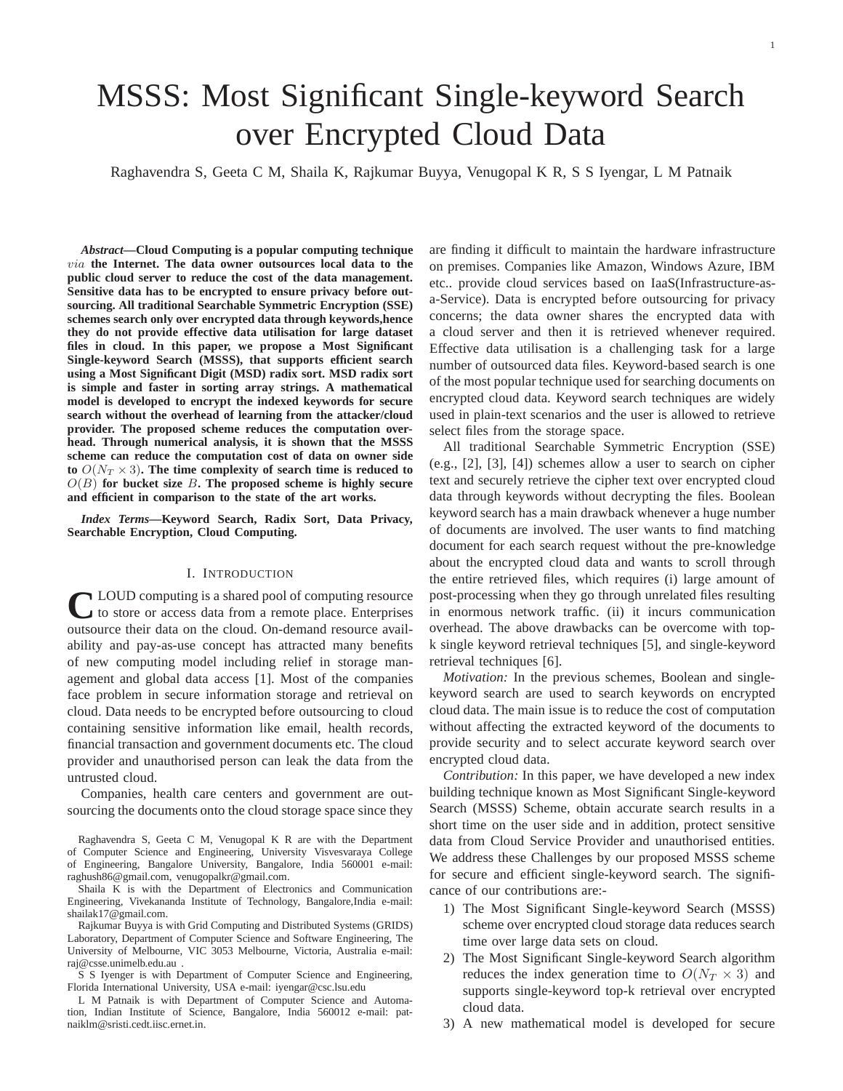# MSSS: Most Significant Single-keyword Search over Encrypted Cloud Data

Raghavendra S, Geeta C M, Shaila K, Rajkumar Buyya, Venugopal K R, S S Iyengar, L M Patnaik

*Abstract***—Cloud Computing is a popular computing technique** via **the Internet. The data owner outsources local data to the public cloud server to reduce the cost of the data management. Sensitive data has to be encrypted to ensure privacy before outsourcing. All traditional Searchable Symmetric Encryption (SSE) schemes search only over encrypted data through keywords,hence they do not provide effective data utilisation for large dataset files in cloud. In this paper, we propose a Most Significant Single-keyword Search (MSSS), that supports efficient search using a Most Significant Digit (MSD) radix sort. MSD radix sort is simple and faster in sorting array strings. A mathematical model is developed to encrypt the indexed keywords for secure search without the overhead of learning from the attacker/cloud provider. The proposed scheme reduces the computation overhead. Through numerical analysis, it is shown that the MSSS scheme can reduce the computation cost of data on owner side** to  $O(N_T \times 3)$ . The time complexity of search time is reduced to  $O(B)$  for bucket size  $B$ **.** The proposed scheme is highly secure **and efficient in comparison to the state of the art works.**

*Index Terms***—Keyword Search, Radix Sort, Data Privacy, Searchable Encryption, Cloud Computing.**

#### I. INTRODUCTION

C LOUD computing is a shared pool of computing resource<br>to store or access data from a remote place. Enterprises LOUD computing is a shared pool of computing resource outsource their data on the cloud. On-demand resource availability and pay-as-use concept has attracted many benefits of new computing model including relief in storage management and global data access [1]. Most of the companies face problem in secure information storage and retrieval on cloud. Data needs to be encrypted before outsourcing to cloud containing sensitive information like email, health records, financial transaction and government documents etc. The cloud provider and unauthorised person can leak the data from the untrusted cloud.

Companies, health care centers and government are outsourcing the documents onto the cloud storage space since they

Raghavendra S, Geeta C M, Venugopal K R are with the Department of Computer Science and Engineering, University Visvesvaraya College of Engineering, Bangalore University, Bangalore, India 560001 e-mail: raghush86@gmail.com, venugopalkr@gmail.com.

Shaila K is with the Department of Electronics and Communication Engineering, Vivekananda Institute of Technology, Bangalore,India e-mail: shailak17@gmail.com.

Rajkumar Buyya is with Grid Computing and Distributed Systems (GRIDS) Laboratory, Department of Computer Science and Software Engineering, The University of Melbourne, VIC 3053 Melbourne, Victoria, Australia e-mail: raj@csse.unimelb.edu.au .

S S Iyenger is with Department of Computer Science and Engineering, Florida International University, USA e-mail: iyengar@csc.lsu.edu

L M Patnaik is with Department of Computer Science and Automation, Indian Institute of Science, Bangalore, India 560012 e-mail: patnaiklm@sristi.cedt.iisc.ernet.in.

are finding it difficult to maintain the hardware infrastructure on premises. Companies like Amazon, Windows Azure, IBM etc.. provide cloud services based on IaaS(Infrastructure-asa-Service). Data is encrypted before outsourcing for privacy concerns; the data owner shares the encrypted data with a cloud server and then it is retrieved whenever required. Effective data utilisation is a challenging task for a large number of outsourced data files. Keyword-based search is one of the most popular technique used for searching documents on encrypted cloud data. Keyword search techniques are widely used in plain-text scenarios and the user is allowed to retrieve select files from the storage space.

All traditional Searchable Symmetric Encryption (SSE) (e.g., [2], [3], [4]) schemes allow a user to search on cipher text and securely retrieve the cipher text over encrypted cloud data through keywords without decrypting the files. Boolean keyword search has a main drawback whenever a huge number of documents are involved. The user wants to find matching document for each search request without the pre-knowledge about the encrypted cloud data and wants to scroll through the entire retrieved files, which requires (i) large amount of post-processing when they go through unrelated files resulting in enormous network traffic. (ii) it incurs communication overhead. The above drawbacks can be overcome with topk single keyword retrieval techniques [5], and single-keyword retrieval techniques [6].

*Motivation:* In the previous schemes, Boolean and singlekeyword search are used to search keywords on encrypted cloud data. The main issue is to reduce the cost of computation without affecting the extracted keyword of the documents to provide security and to select accurate keyword search over encrypted cloud data.

*Contribution:* In this paper, we have developed a new index building technique known as Most Significant Single-keyword Search (MSSS) Scheme, obtain accurate search results in a short time on the user side and in addition, protect sensitive data from Cloud Service Provider and unauthorised entities. We address these Challenges by our proposed MSSS scheme for secure and efficient single-keyword search. The significance of our contributions are:-

- 1) The Most Significant Single-keyword Search (MSSS) scheme over encrypted cloud storage data reduces search time over large data sets on cloud.
- 2) The Most Significant Single-keyword Search algorithm reduces the index generation time to  $O(N_T \times 3)$  and supports single-keyword top-k retrieval over encrypted cloud data.
- 3) A new mathematical model is developed for secure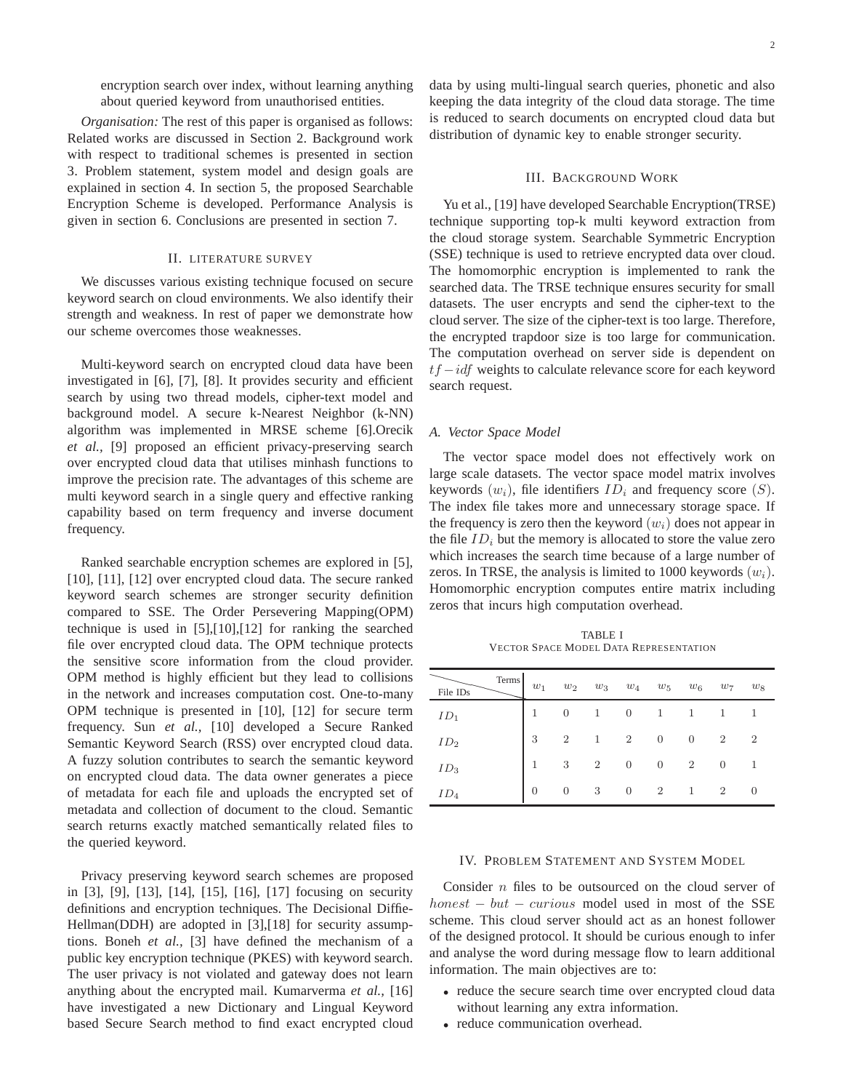encryption search over index, without learning anything about queried keyword from unauthorised entities.

*Organisation:* The rest of this paper is organised as follows: Related works are discussed in Section 2. Background work with respect to traditional schemes is presented in section 3. Problem statement, system model and design goals are explained in section 4. In section 5, the proposed Searchable Encryption Scheme is developed. Performance Analysis is given in section 6. Conclusions are presented in section 7.

#### II. LITERATURE SURVEY

We discusses various existing technique focused on secure keyword search on cloud environments. We also identify their strength and weakness. In rest of paper we demonstrate how our scheme overcomes those weaknesses.

Multi-keyword search on encrypted cloud data have been investigated in [6], [7], [8]. It provides security and efficient search by using two thread models, cipher-text model and background model. A secure k-Nearest Neighbor (k-NN) algorithm was implemented in MRSE scheme [6].Orecik *et al.,* [9] proposed an efficient privacy-preserving search over encrypted cloud data that utilises minhash functions to improve the precision rate. The advantages of this scheme are multi keyword search in a single query and effective ranking capability based on term frequency and inverse document frequency.

Ranked searchable encryption schemes are explored in [5], [10], [11], [12] over encrypted cloud data. The secure ranked keyword search schemes are stronger security definition compared to SSE. The Order Persevering Mapping(OPM) technique is used in [5],[10],[12] for ranking the searched file over encrypted cloud data. The OPM technique protects the sensitive score information from the cloud provider. OPM method is highly efficient but they lead to collisions in the network and increases computation cost. One-to-many OPM technique is presented in [10], [12] for secure term frequency. Sun *et al.,* [10] developed a Secure Ranked Semantic Keyword Search (RSS) over encrypted cloud data. A fuzzy solution contributes to search the semantic keyword on encrypted cloud data. The data owner generates a piece of metadata for each file and uploads the encrypted set of metadata and collection of document to the cloud. Semantic search returns exactly matched semantically related files to the queried keyword.

Privacy preserving keyword search schemes are proposed in [3], [9], [13], [14], [15], [16], [17] focusing on security definitions and encryption techniques. The Decisional Diffie-Hellman(DDH) are adopted in [3],[18] for security assumptions. Boneh *et al.,* [3] have defined the mechanism of a public key encryption technique (PKES) with keyword search. The user privacy is not violated and gateway does not learn anything about the encrypted mail. Kumarverma *et al.,* [16] have investigated a new Dictionary and Lingual Keyword based Secure Search method to find exact encrypted cloud

data by using multi-lingual search queries, phonetic and also keeping the data integrity of the cloud data storage. The time is reduced to search documents on encrypted cloud data but distribution of dynamic key to enable stronger security.

#### III. BACKGROUND WORK

Yu et al., [19] have developed Searchable Encryption(TRSE) technique supporting top-k multi keyword extraction from the cloud storage system. Searchable Symmetric Encryption (SSE) technique is used to retrieve encrypted data over cloud. The homomorphic encryption is implemented to rank the searched data. The TRSE technique ensures security for small datasets. The user encrypts and send the cipher-text to the cloud server. The size of the cipher-text is too large. Therefore, the encrypted trapdoor size is too large for communication. The computation overhead on server side is dependent on  $tf -idf$  weights to calculate relevance score for each keyword search request.

#### *A. Vector Space Model*

The vector space model does not effectively work on large scale datasets. The vector space model matrix involves keywords  $(w_i)$ , file identifiers  $ID_i$  and frequency score  $(S)$ . The index file takes more and unnecessary storage space. If the frequency is zero then the keyword  $(w_i)$  does not appear in the file  $ID_i$  but the memory is allocated to store the value zero which increases the search time because of a large number of zeros. In TRSE, the analysis is limited to 1000 keywords  $(w_i)$ . Homomorphic encryption computes entire matrix including zeros that incurs high computation overhead.

TABLE I VECTOR SPACE MODEL DATA REPRESENTATION

| Terms<br>File IDs | $w_1$          | $w_2$          |                |                  |                |                | $w_3$ $w_4$ $w_5$ $w_6$ $w_7$ $w_8$ |                |
|-------------------|----------------|----------------|----------------|------------------|----------------|----------------|-------------------------------------|----------------|
| $ID_1$            |                | $\overline{0}$ | 1              | $\overline{0}$   | 1              | 1              |                                     |                |
| ID <sub>2</sub>   | 3              | $\overline{2}$ | 1              | $\overline{2}$   | $\overline{0}$ | $\overline{0}$ | $\overline{2}$                      | $\overline{2}$ |
| $ID_3$            |                | 3              | $\overline{2}$ | $\overline{0}$   | $\overline{0}$ | $\overline{2}$ | $\overline{0}$                      | -1             |
| $ID_4$            | $\overline{0}$ | $\overline{0}$ | 3              | $\boldsymbol{0}$ | $\overline{2}$ | $\mathbf{1}$   | $\overline{2}$                      | $\theta$       |

#### IV. PROBLEM STATEMENT AND SYSTEM MODEL

Consider n files to be outsourced on the cloud server of  $honest - but - curious \text{ model used in most of the SSE}$ scheme. This cloud server should act as an honest follower of the designed protocol. It should be curious enough to infer and analyse the word during message flow to learn additional information. The main objectives are to:

- reduce the secure search time over encrypted cloud data without learning any extra information.
- reduce communication overhead.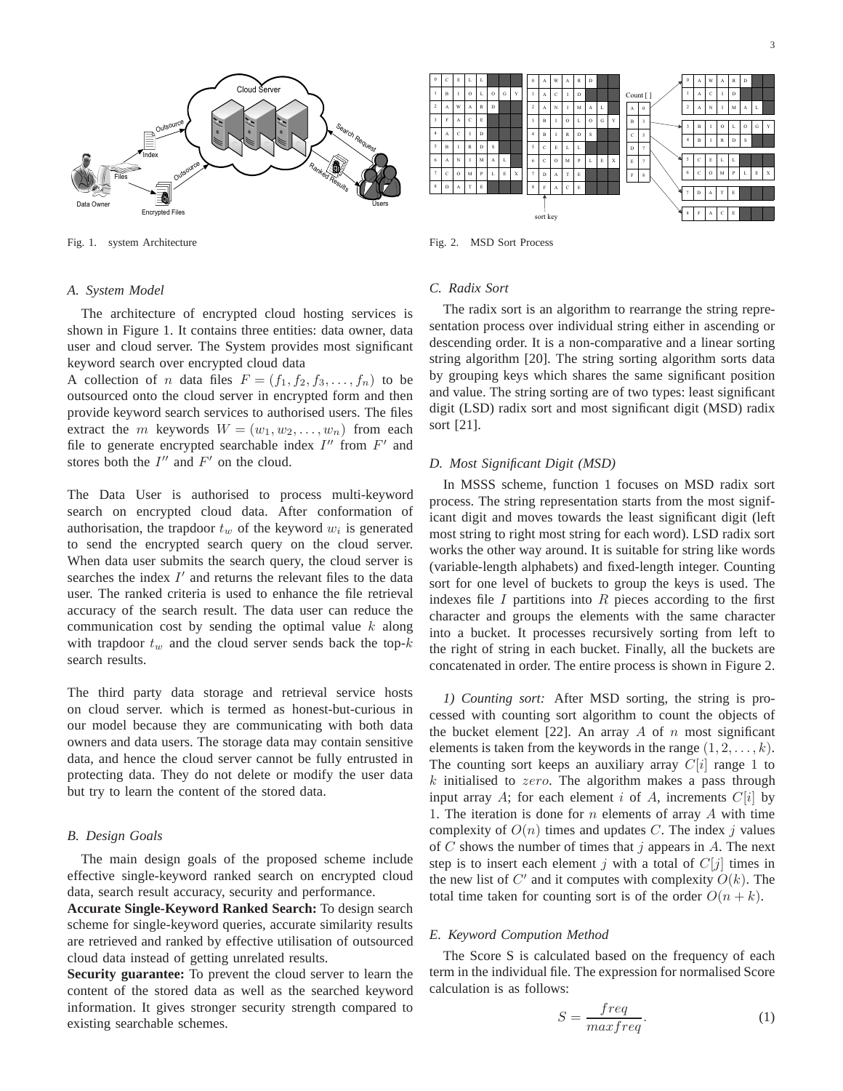

Fig. 1. system Architecture

#### *A. System Model*

The architecture of encrypted cloud hosting services is shown in Figure 1. It contains three entities: data owner, data user and cloud server. The System provides most significant keyword search over encrypted cloud data

A collection of *n* data files  $F = (f_1, f_2, f_3, \dots, f_n)$  to be outsourced onto the cloud server in encrypted form and then provide keyword search services to authorised users. The files extract the m keywords  $W = (w_1, w_2, \dots, w_n)$  from each file to generate encrypted searchable index  $I''$  from  $F'$  and stores both the  $I''$  and  $F'$  on the cloud.

The Data User is authorised to process multi-keyword search on encrypted cloud data. After conformation of authorisation, the trapdoor  $t_w$  of the keyword  $w_i$  is generated to send the encrypted search query on the cloud server. When data user submits the search query, the cloud server is searches the index  $I'$  and returns the relevant files to the data user. The ranked criteria is used to enhance the file retrieval accuracy of the search result. The data user can reduce the communication cost by sending the optimal value  $k$  along with trapdoor  $t_w$  and the cloud server sends back the top- $k$ search results.

The third party data storage and retrieval service hosts on cloud server. which is termed as honest-but-curious in our model because they are communicating with both data owners and data users. The storage data may contain sensitive data, and hence the cloud server cannot be fully entrusted in protecting data. They do not delete or modify the user data but try to learn the content of the stored data.

#### *B. Design Goals*

The main design goals of the proposed scheme include effective single-keyword ranked search on encrypted cloud data, search result accuracy, security and performance.

**Accurate Single-Keyword Ranked Search:** To design search scheme for single-keyword queries, accurate similarity results are retrieved and ranked by effective utilisation of outsourced cloud data instead of getting unrelated results.

**Security guarantee:** To prevent the cloud server to learn the content of the stored data as well as the searched keyword information. It gives stronger security strength compared to existing searchable schemes.



Fig. 2. MSD Sort Process

### *C. Radix Sort*

The radix sort is an algorithm to rearrange the string representation process over individual string either in ascending or descending order. It is a non-comparative and a linear sorting string algorithm [20]. The string sorting algorithm sorts data by grouping keys which shares the same significant position and value. The string sorting are of two types: least significant digit (LSD) radix sort and most significant digit (MSD) radix sort [21].

#### *D. Most Significant Digit (MSD)*

In MSSS scheme, function 1 focuses on MSD radix sort process. The string representation starts from the most significant digit and moves towards the least significant digit (left most string to right most string for each word). LSD radix sort works the other way around. It is suitable for string like words (variable-length alphabets) and fixed-length integer. Counting sort for one level of buckets to group the keys is used. The indexes file  $I$  partitions into  $R$  pieces according to the first character and groups the elements with the same character into a bucket. It processes recursively sorting from left to the right of string in each bucket. Finally, all the buckets are concatenated in order. The entire process is shown in Figure 2.

*1) Counting sort:* After MSD sorting, the string is processed with counting sort algorithm to count the objects of the bucket element [22]. An array A of  $n$  most significant elements is taken from the keywords in the range  $(1, 2, \ldots, k)$ . The counting sort keeps an auxiliary array  $C[i]$  range 1 to  $k$  initialised to zero. The algorithm makes a pass through input array A; for each element i of A, increments  $C[i]$  by 1. The iteration is done for  $n$  elements of array  $A$  with time complexity of  $O(n)$  times and updates C. The index j values of C shows the number of times that  $j$  appears in A. The next step is to insert each element j with a total of  $C[j]$  times in the new list of  $C'$  and it computes with complexity  $O(k)$ . The total time taken for counting sort is of the order  $O(n + k)$ .

#### *E. Keyword Compution Method*

The Score S is calculated based on the frequency of each term in the individual file. The expression for normalised Score calculation is as follows:

$$
S = \frac{freq}{maxfreq}.
$$
 (1)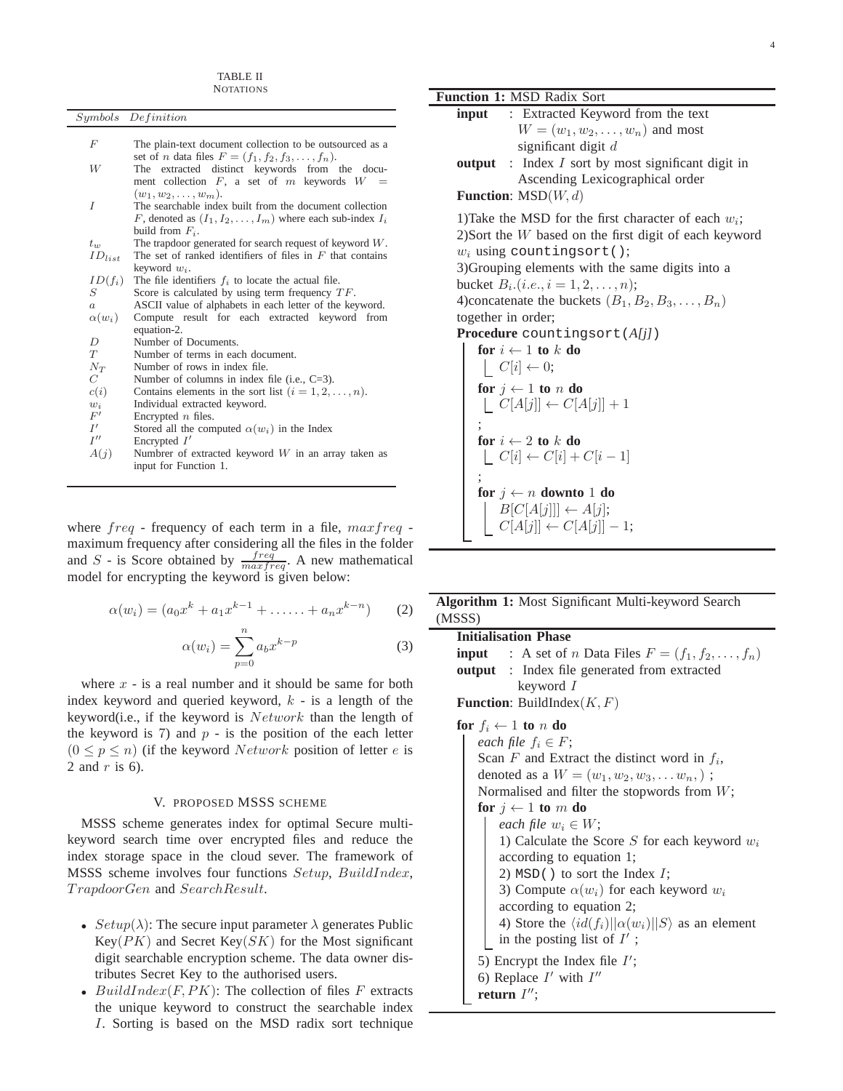|                    | Symbols Definition                                                                       |
|--------------------|------------------------------------------------------------------------------------------|
| F                  | The plain-text document collection to be outsourced as a                                 |
|                    | set of <i>n</i> data files $F = (f_1, f_2, f_3, \ldots, f_n)$ .                          |
| W                  | The extracted distinct keywords from the docu-                                           |
|                    | ment collection $F$ , a set of $m$ keywords $W$<br>$=$                                   |
| $\overline{I}$     | $(w_1, w_2, \ldots, w_m).$                                                               |
|                    | The searchable index built from the document collection                                  |
|                    | F, denoted as $(I_1, I_2, \ldots, I_m)$ where each sub-index $I_i$<br>build from $F_i$ . |
| $t_w$              | The trapdoor generated for search request of keyword $W$ .                               |
| $ID_{list}$        | The set of ranked identifiers of files in $F$ that contains                              |
|                    | keyword $w_i$ .                                                                          |
| $ID(f_i)$          | The file identifiers $f_i$ to locate the actual file.                                    |
| S                  | Score is calculated by using term frequency $TF$ .                                       |
| $\boldsymbol{a}$   | ASCII value of alphabets in each letter of the keyword.                                  |
| $\alpha(w_i)$      | Compute result for each extracted keyword from<br>equation-2.                            |
| D                  | Number of Documents.                                                                     |
| T                  | Number of terms in each document.                                                        |
| $N_T$              | Number of rows in index file.                                                            |
| C                  | Number of columns in index file (i.e., $C=3$ ).                                          |
| c(i)               | Contains elements in the sort list $(i = 1, 2, \ldots, n)$ .                             |
| $w_i$              | Individual extracted keyword.                                                            |
| F'                 | Encrypted $n$ files.                                                                     |
| I'                 | Stored all the computed $\alpha(w_i)$ in the Index                                       |
| $I^{\prime\prime}$ | Encrypted $I'$                                                                           |
| A(j)               | Numbrer of extracted keyword $W$ in an array taken as<br>input for Function 1.           |

where  $freq$  - frequency of each term in a file,  $maxfreq$ . maximum frequency after considering all the files in the folder and S - is Score obtained by  $\frac{freq}{maxfreq}$ . A new mathematical model for encrypting the keyword is given below:

$$
\alpha(w_i) = (a_0 x^k + a_1 x^{k-1} + \dots + a_n x^{k-n})
$$
 (2)

$$
\alpha(w_i) = \sum_{p=0}^{n} a_b x^{k-p} \tag{3}
$$

where  $x -$  is a real number and it should be same for both index keyword and queried keyword,  $k$  - is a length of the keyword(i.e., if the keyword is  $Network$  than the length of the keyword is 7) and  $p -$  is the position of the each letter  $(0 \le p \le n)$  (if the keyword *Network* position of letter *e* is 2 and  $r$  is 6).

#### V. PROPOSED MSSS SCHEME

MSSS scheme generates index for optimal Secure multikeyword search time over encrypted files and reduce the index storage space in the cloud sever. The framework of MSSS scheme involves four functions Setup, BuildIndex, T rapdoorGen and SearchResult.

- $Setup(\lambda)$ : The secure input parameter  $\lambda$  generates Public  $Key(PK)$  and Secret Key(SK) for the Most significant digit searchable encryption scheme. The data owner distributes Secret Key to the authorised users.
- BuildIndex $(F, PK)$ : The collection of files F extracts the unique keyword to construct the searchable index I. Sorting is based on the MSD radix sort technique

**Function 1:** MSD Radix Sort **input** : Extracted Keyword from the text  $W = (w_1, w_2, \dots, w_n)$  and most significant digit d **output** : Index I sort by most significant digit in Ascending Lexicographical order **Function**: MSD(W, d) 1)Take the MSD for the first character of each  $w_i$ ; 2)Sort the W based on the first digit of each keyword  $w_i$  using countingsort(); 3)Grouping elements with the same digits into a bucket  $B_i$ .  $(i.e., i = 1, 2, ..., n);$ 4)concatenate the buckets  $(B_1, B_2, B_3, \ldots, B_n)$ together in order; **Procedure** countingsort(*A[j]*) **for**  $i \leftarrow 1$  **to** k **do**  $\mid C[i] \leftarrow 0;$ **for**  $i \leftarrow 1$  **to** n **do**  $\left[\right] C[A[j]] \leftarrow C[A[j]] + 1$ ; **for**  $i \leftarrow 2$  **to**  $k$  **do**  $[C[i] \leftarrow C[i] + C[i-1]$ ; **for**  $j \leftarrow n$  **downto** 1 **do**  $B[C[A[j]]] \leftarrow A[j];$  $C[A[j]] \leftarrow C[A[j]] - 1;$ 

|        |  | <b>Algorithm 1:</b> Most Significant Multi-keyword Search |  |
|--------|--|-----------------------------------------------------------|--|
| (MSSS) |  |                                                           |  |

## **Initialisation Phase**

**input** : A set of n Data Files  $F = (f_1, f_2, \dots, f_n)$ **output** : Index file generated from extracted keyword I **Function**: BuildIndex $(K, F)$ 

### **for**  $f_i \leftarrow 1$  **to** n **do**

*each file*  $f_i \in F$ ; Scan  $F$  and Extract the distinct word in  $f_i$ , denoted as a  $W = (w_1, w_2, w_3, \dots w_n)$ ; Normalised and filter the stopwords from W; **for**  $i \leftarrow 1$  **to** m **do** *each file*  $w_i \in W$ ; 1) Calculate the Score  $S$  for each keyword  $w_i$ according to equation 1; 2)  $MSD()$  to sort the Index  $I$ ; 3) Compute  $\alpha(w_i)$  for each keyword  $w_i$ according to equation 2; 4) Store the  $\langle id(f_i)||\alpha(w_i)||S \rangle$  as an element in the posting list of  $I'$ ; 5) Encrypt the Index file  $I'$ ; 6) Replace  $I'$  with  $I''$ **return** I ′′;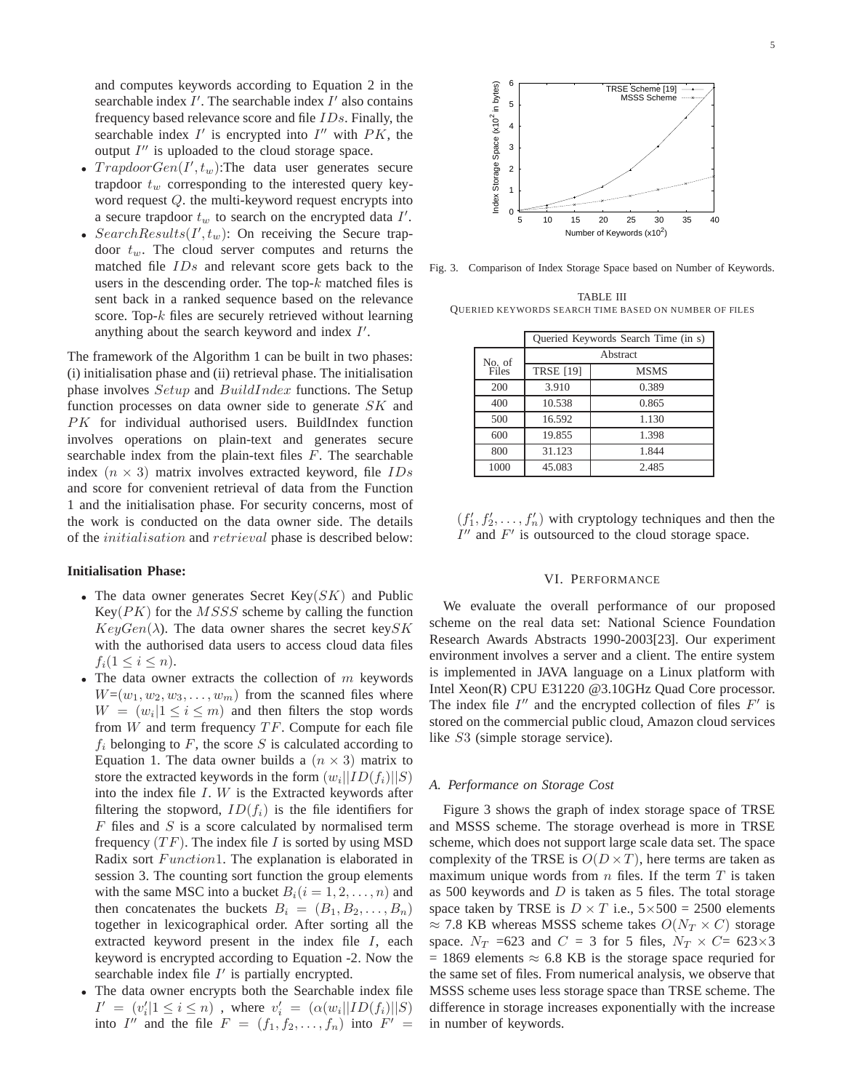- $TrapdoorGen(I', t_w)$ :The data user generates secure trapdoor  $t_w$  corresponding to the interested query keyword request Q. the multi-keyword request encrypts into a secure trapdoor  $t_w$  to search on the encrypted data  $I'$ .
- Search Results $(I', t_w)$ : On receiving the Secure trapdoor  $t_w$ . The cloud server computes and returns the matched file IDs and relevant score gets back to the users in the descending order. The top- $k$  matched files is sent back in a ranked sequence based on the relevance score. Top-k files are securely retrieved without learning anything about the search keyword and index  $I'$ .

The framework of the Algorithm 1 can be built in two phases: (i) initialisation phase and (ii) retrieval phase. The initialisation phase involves Setup and BuildIndex functions. The Setup function processes on data owner side to generate  $SK$  and PK for individual authorised users. BuildIndex function involves operations on plain-text and generates secure searchable index from the plain-text files  $F$ . The searchable index  $(n \times 3)$  matrix involves extracted keyword, file  $IDs$ and score for convenient retrieval of data from the Function 1 and the initialisation phase. For security concerns, most of the work is conducted on the data owner side. The details of the initialisation and retrieval phase is described below:

#### **Initialisation Phase:**

- The data owner generates Secret Key $(SK)$  and Public  $Key(PK)$  for the  $MSSS$  scheme by calling the function  $KeyGen(\lambda)$ . The data owner shares the secret keySK with the authorised data users to access cloud data files  $f_i(1 \leq i \leq n).$
- The data owner extracts the collection of  $m$  keywords  $W=(w_1, w_2, w_3, \ldots, w_m)$  from the scanned files where  $W = (w_i | 1 \le i \le m)$  and then filters the stop words from  $W$  and term frequency  $TF$ . Compute for each file  $f_i$  belonging to F, the score S is calculated according to Equation 1. The data owner builds a  $(n \times 3)$  matrix to store the extracted keywords in the form  $(w_i||ID(f_i)||S)$ into the index file  $I.$  W is the Extracted keywords after filtering the stopword,  $ID(f_i)$  is the file identifiers for  $F$  files and  $S$  is a score calculated by normalised term frequency  $(TF)$ . The index file I is sorted by using MSD Radix sort Function1. The explanation is elaborated in session 3. The counting sort function the group elements with the same MSC into a bucket  $B_i(i = 1, 2, \ldots, n)$  and then concatenates the buckets  $B_i = (B_1, B_2, \ldots, B_n)$ together in lexicographical order. After sorting all the extracted keyword present in the index file I, each keyword is encrypted according to Equation -2. Now the searchable index file  $I'$  is partially encrypted.
- The data owner encrypts both the Searchable index file  $I' = (v'_i | 1 \leq i \leq n)$ , where  $v'_i = (\alpha(w_i || ID(f_i) || S))$ into I'' and the file  $F = (f_1, f_2, \ldots, f_n)$  into  $F' =$



Fig. 3. Comparison of Index Storage Space based on Number of Keywords.

TABLE III QUERIED KEYWORDS SEARCH TIME BASED ON NUMBER OF FILES

|        | Queried Keywords Search Time (in s) |             |  |  |  |
|--------|-------------------------------------|-------------|--|--|--|
| No. of | Abstract                            |             |  |  |  |
| Files  | <b>TRSE [19]</b>                    | <b>MSMS</b> |  |  |  |
| 200    | 3.910                               | 0.389       |  |  |  |
| 400    | 10.538                              | 0.865       |  |  |  |
| 500    | 16.592                              | 1.130       |  |  |  |
| 600    | 19.855                              | 1.398       |  |  |  |
| 800    | 31.123                              | 1.844       |  |  |  |
| 1000   | 45.083                              | 2.485       |  |  |  |

 $(f'_1, f'_2, \ldots, f'_n)$  with cryptology techniques and then the  $I''$  and  $F'$  is outsourced to the cloud storage space.

#### VI. PERFORMANCE

We evaluate the overall performance of our proposed scheme on the real data set: National Science Foundation Research Awards Abstracts 1990-2003[23]. Our experiment environment involves a server and a client. The entire system is implemented in JAVA language on a Linux platform with Intel Xeon(R) CPU E31220 @3.10GHz Quad Core processor. The index file  $I''$  and the encrypted collection of files  $F'$  is stored on the commercial public cloud, Amazon cloud services like S3 (simple storage service).

#### *A. Performance on Storage Cost*

Figure 3 shows the graph of index storage space of TRSE and MSSS scheme. The storage overhead is more in TRSE scheme, which does not support large scale data set. The space complexity of the TRSE is  $O(D \times T)$ , here terms are taken as maximum unique words from  $n$  files. If the term  $T$  is taken as 500 keywords and  $D$  is taken as 5 files. The total storage space taken by TRSE is  $D \times T$  i.e.,  $5 \times 500 = 2500$  elements  $\approx$  7.8 KB whereas MSSS scheme takes  $O(N_T \times C)$  storage space.  $N_T$  =623 and  $C = 3$  for 5 files,  $N_T \times C = 623 \times 3$  $= 1869$  elements  $\approx 6.8$  KB is the storage space requried for the same set of files. From numerical analysis, we observe that MSSS scheme uses less storage space than TRSE scheme. The difference in storage increases exponentially with the increase in number of keywords.